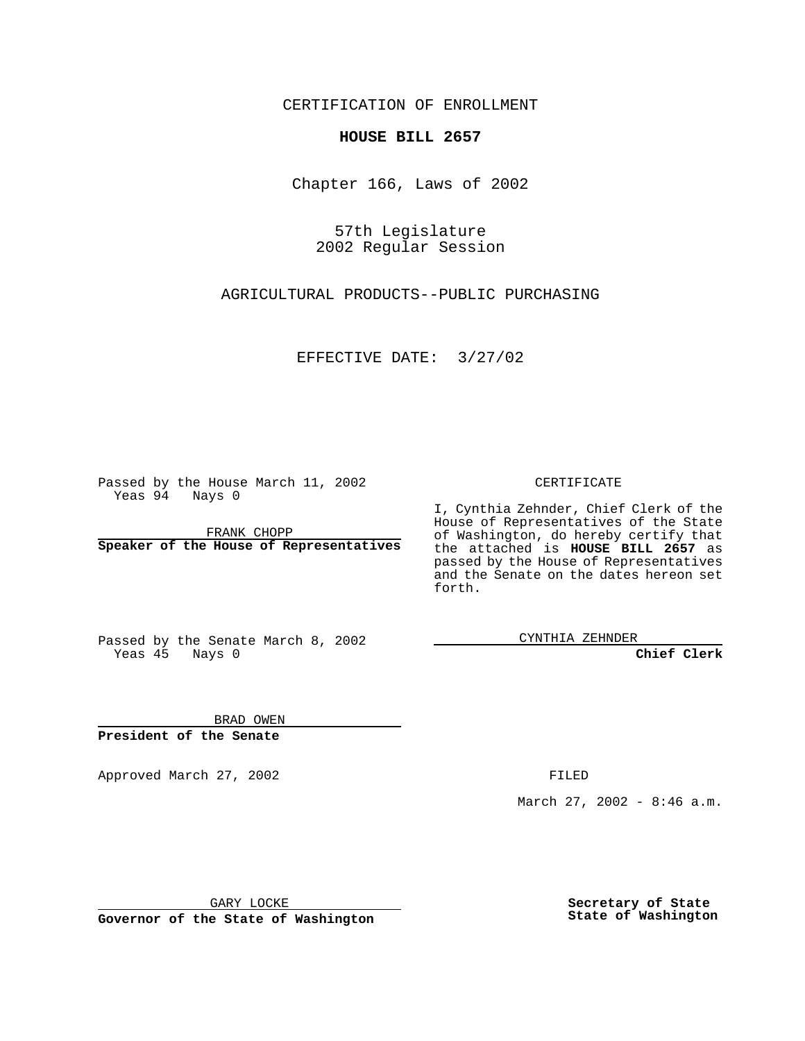CERTIFICATION OF ENROLLMENT

## **HOUSE BILL 2657**

Chapter 166, Laws of 2002

57th Legislature 2002 Regular Session

AGRICULTURAL PRODUCTS--PUBLIC PURCHASING

EFFECTIVE DATE: 3/27/02

Passed by the House March 11, 2002 Yeas 94 Nays 0

FRANK CHOPP **Speaker of the House of Representatives** CERTIFICATE

I, Cynthia Zehnder, Chief Clerk of the House of Representatives of the State of Washington, do hereby certify that the attached is **HOUSE BILL 2657** as passed by the House of Representatives and the Senate on the dates hereon set forth.

Passed by the Senate March 8, 2002 Yeas 45 Nays 0

CYNTHIA ZEHNDER

**Chief Clerk**

BRAD OWEN **President of the Senate**

Approved March 27, 2002 **FILED** 

March 27, 2002 - 8:46 a.m.

GARY LOCKE

**Governor of the State of Washington**

**Secretary of State State of Washington**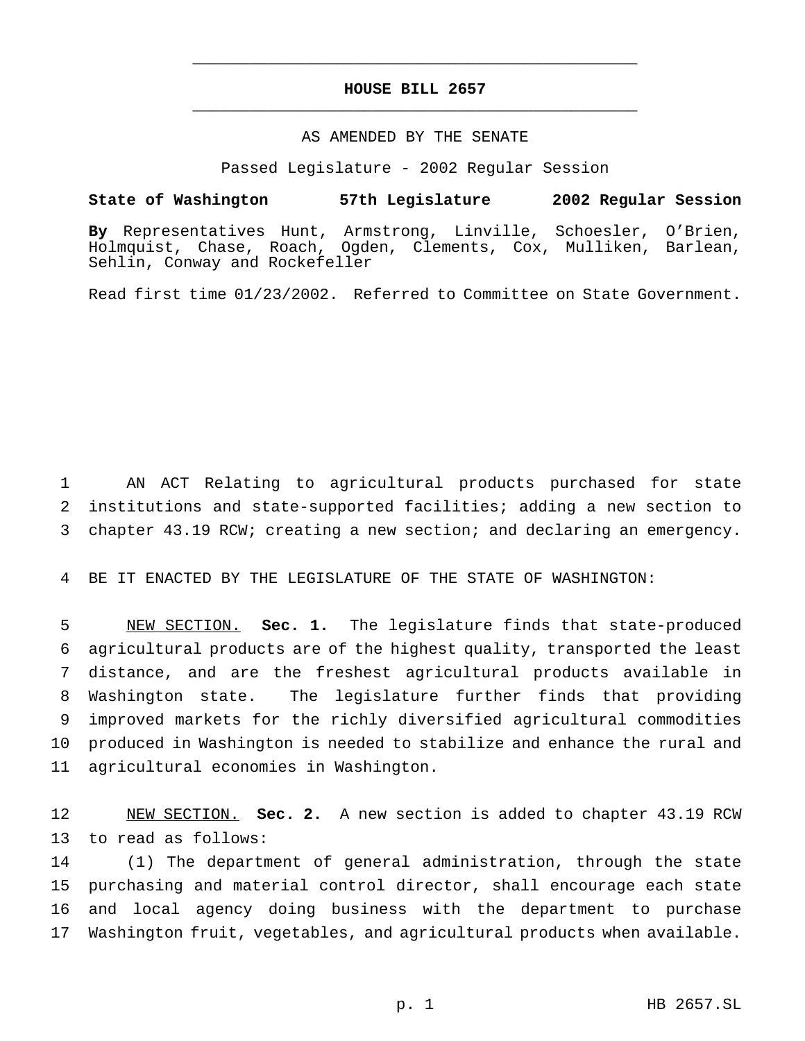## **HOUSE BILL 2657** \_\_\_\_\_\_\_\_\_\_\_\_\_\_\_\_\_\_\_\_\_\_\_\_\_\_\_\_\_\_\_\_\_\_\_\_\_\_\_\_\_\_\_\_\_\_\_

\_\_\_\_\_\_\_\_\_\_\_\_\_\_\_\_\_\_\_\_\_\_\_\_\_\_\_\_\_\_\_\_\_\_\_\_\_\_\_\_\_\_\_\_\_\_\_

## AS AMENDED BY THE SENATE

Passed Legislature - 2002 Regular Session

## **State of Washington 57th Legislature 2002 Regular Session**

**By** Representatives Hunt, Armstrong, Linville, Schoesler, O'Brien, Holmquist, Chase, Roach, Ogden, Clements, Cox, Mulliken, Barlean, Sehlin, Conway and Rockefeller

Read first time 01/23/2002. Referred to Committee on State Government.

 AN ACT Relating to agricultural products purchased for state institutions and state-supported facilities; adding a new section to chapter 43.19 RCW; creating a new section; and declaring an emergency.

BE IT ENACTED BY THE LEGISLATURE OF THE STATE OF WASHINGTON:

 NEW SECTION. **Sec. 1.** The legislature finds that state-produced agricultural products are of the highest quality, transported the least distance, and are the freshest agricultural products available in Washington state. The legislature further finds that providing improved markets for the richly diversified agricultural commodities produced in Washington is needed to stabilize and enhance the rural and agricultural economies in Washington.

 NEW SECTION. **Sec. 2.** A new section is added to chapter 43.19 RCW to read as follows:

 (1) The department of general administration, through the state purchasing and material control director, shall encourage each state and local agency doing business with the department to purchase Washington fruit, vegetables, and agricultural products when available.